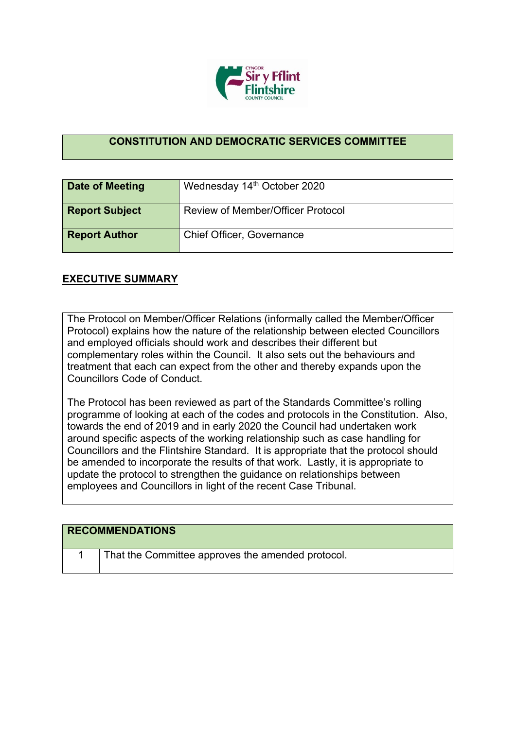

## **CONSTITUTION AND DEMOCRATIC SERVICES COMMITTEE**

| <b>Date of Meeting</b> | Wednesday 14th October 2020              |
|------------------------|------------------------------------------|
| <b>Report Subject</b>  | <b>Review of Member/Officer Protocol</b> |
| <b>Report Author</b>   | <b>Chief Officer, Governance</b>         |

## **EXECUTIVE SUMMARY**

The Protocol on Member/Officer Relations (informally called the Member/Officer Protocol) explains how the nature of the relationship between elected Councillors and employed officials should work and describes their different but complementary roles within the Council. It also sets out the behaviours and treatment that each can expect from the other and thereby expands upon the Councillors Code of Conduct.

The Protocol has been reviewed as part of the Standards Committee's rolling programme of looking at each of the codes and protocols in the Constitution. Also, towards the end of 2019 and in early 2020 the Council had undertaken work around specific aspects of the working relationship such as case handling for Councillors and the Flintshire Standard. It is appropriate that the protocol should be amended to incorporate the results of that work. Lastly, it is appropriate to update the protocol to strengthen the guidance on relationships between employees and Councillors in light of the recent Case Tribunal.

| <b>RECOMMENDATIONS</b> |                                                   |
|------------------------|---------------------------------------------------|
|                        | That the Committee approves the amended protocol. |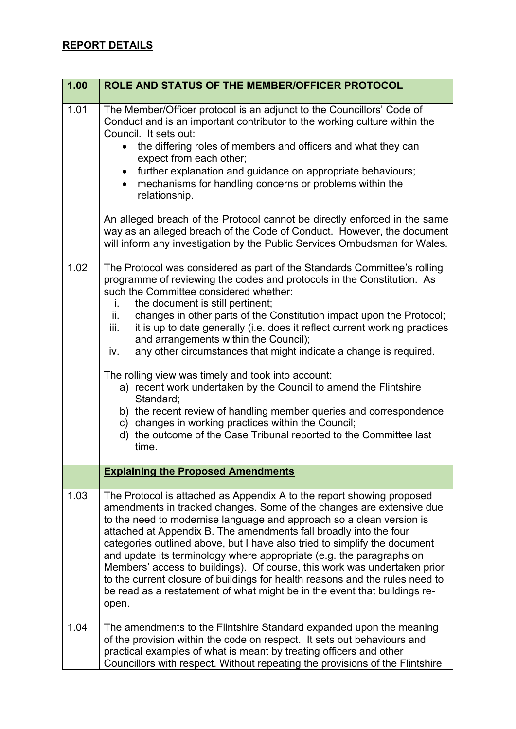| 1.00 | ROLE AND STATUS OF THE MEMBER/OFFICER PROTOCOL                                                                                                                                                                                                                                                                                                                                                                                                                                                                                                                                                                                                                                                                                                                                                                                                                                      |
|------|-------------------------------------------------------------------------------------------------------------------------------------------------------------------------------------------------------------------------------------------------------------------------------------------------------------------------------------------------------------------------------------------------------------------------------------------------------------------------------------------------------------------------------------------------------------------------------------------------------------------------------------------------------------------------------------------------------------------------------------------------------------------------------------------------------------------------------------------------------------------------------------|
| 1.01 | The Member/Officer protocol is an adjunct to the Councillors' Code of<br>Conduct and is an important contributor to the working culture within the<br>Council. It sets out:<br>the differing roles of members and officers and what they can<br>expect from each other;<br>further explanation and guidance on appropriate behaviours;<br>mechanisms for handling concerns or problems within the<br>relationship.<br>An alleged breach of the Protocol cannot be directly enforced in the same<br>way as an alleged breach of the Code of Conduct. However, the document                                                                                                                                                                                                                                                                                                           |
|      | will inform any investigation by the Public Services Ombudsman for Wales.                                                                                                                                                                                                                                                                                                                                                                                                                                                                                                                                                                                                                                                                                                                                                                                                           |
| 1.02 | The Protocol was considered as part of the Standards Committee's rolling<br>programme of reviewing the codes and protocols in the Constitution. As<br>such the Committee considered whether:<br>the document is still pertinent;<br>İ.<br>changes in other parts of the Constitution impact upon the Protocol;<br>ii.<br>it is up to date generally (i.e. does it reflect current working practices<br>iii.<br>and arrangements within the Council);<br>any other circumstances that might indicate a change is required.<br>iv.<br>The rolling view was timely and took into account:<br>a) recent work undertaken by the Council to amend the Flintshire<br>Standard;<br>b) the recent review of handling member queries and correspondence<br>c) changes in working practices within the Council;<br>d) the outcome of the Case Tribunal reported to the Committee last<br>time. |
|      | <b>Explaining the Proposed Amendments</b>                                                                                                                                                                                                                                                                                                                                                                                                                                                                                                                                                                                                                                                                                                                                                                                                                                           |
| 1.03 | The Protocol is attached as Appendix A to the report showing proposed<br>amendments in tracked changes. Some of the changes are extensive due<br>to the need to modernise language and approach so a clean version is<br>attached at Appendix B. The amendments fall broadly into the four<br>categories outlined above, but I have also tried to simplify the document<br>and update its terminology where appropriate (e.g. the paragraphs on<br>Members' access to buildings). Of course, this work was undertaken prior<br>to the current closure of buildings for health reasons and the rules need to<br>be read as a restatement of what might be in the event that buildings re-<br>open.                                                                                                                                                                                   |
| 1.04 | The amendments to the Flintshire Standard expanded upon the meaning<br>of the provision within the code on respect. It sets out behaviours and<br>practical examples of what is meant by treating officers and other<br>Councillors with respect. Without repeating the provisions of the Flintshire                                                                                                                                                                                                                                                                                                                                                                                                                                                                                                                                                                                |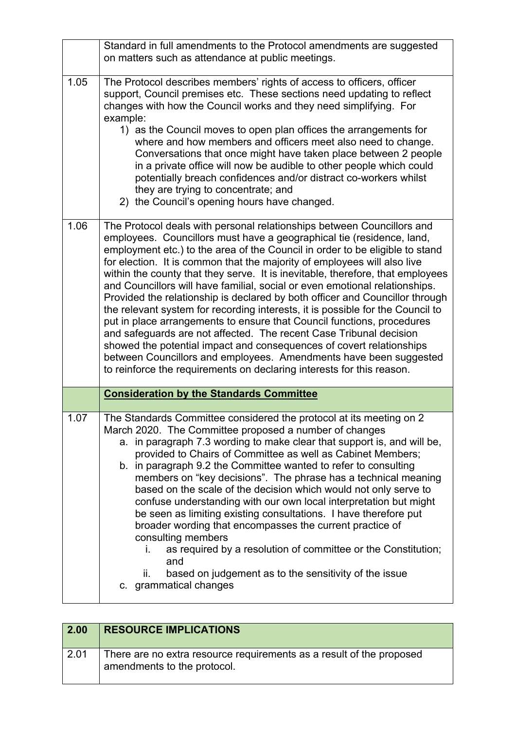|      | Standard in full amendments to the Protocol amendments are suggested                                                                                                                                                                                                                                                                                                                                                                                                                                                                                                                                                                                                                                                                                                                                                                                                                                                                                                                                                 |
|------|----------------------------------------------------------------------------------------------------------------------------------------------------------------------------------------------------------------------------------------------------------------------------------------------------------------------------------------------------------------------------------------------------------------------------------------------------------------------------------------------------------------------------------------------------------------------------------------------------------------------------------------------------------------------------------------------------------------------------------------------------------------------------------------------------------------------------------------------------------------------------------------------------------------------------------------------------------------------------------------------------------------------|
|      | on matters such as attendance at public meetings.                                                                                                                                                                                                                                                                                                                                                                                                                                                                                                                                                                                                                                                                                                                                                                                                                                                                                                                                                                    |
| 1.05 | The Protocol describes members' rights of access to officers, officer<br>support, Council premises etc. These sections need updating to reflect<br>changes with how the Council works and they need simplifying. For<br>example:<br>1) as the Council moves to open plan offices the arrangements for<br>where and how members and officers meet also need to change.<br>Conversations that once might have taken place between 2 people<br>in a private office will now be audible to other people which could<br>potentially breach confidences and/or distract co-workers whilst<br>they are trying to concentrate; and<br>2) the Council's opening hours have changed.                                                                                                                                                                                                                                                                                                                                           |
| 1.06 | The Protocol deals with personal relationships between Councillors and<br>employees. Councillors must have a geographical tie (residence, land,<br>employment etc.) to the area of the Council in order to be eligible to stand<br>for election. It is common that the majority of employees will also live<br>within the county that they serve. It is inevitable, therefore, that employees<br>and Councillors will have familial, social or even emotional relationships.<br>Provided the relationship is declared by both officer and Councillor through<br>the relevant system for recording interests, it is possible for the Council to<br>put in place arrangements to ensure that Council functions, procedures<br>and safeguards are not affected. The recent Case Tribunal decision<br>showed the potential impact and consequences of covert relationships<br>between Councillors and employees. Amendments have been suggested<br>to reinforce the requirements on declaring interests for this reason. |
|      | <b>Consideration by the Standards Committee</b>                                                                                                                                                                                                                                                                                                                                                                                                                                                                                                                                                                                                                                                                                                                                                                                                                                                                                                                                                                      |
| 1.07 | The Standards Committee considered the protocol at its meeting on 2<br>March 2020. The Committee proposed a number of changes<br>a. in paragraph 7.3 wording to make clear that support is, and will be,<br>provided to Chairs of Committee as well as Cabinet Members;<br>b. in paragraph 9.2 the Committee wanted to refer to consulting<br>members on "key decisions". The phrase has a technical meaning<br>based on the scale of the decision which would not only serve to<br>confuse understanding with our own local interpretation but might<br>be seen as limiting existing consultations. I have therefore put<br>broader wording that encompasses the current practice of<br>consulting members<br>as required by a resolution of committee or the Constitution;<br>i.<br>and<br>based on judgement as to the sensitivity of the issue<br>II.                                                                                                                                                            |
|      | c. grammatical changes                                                                                                                                                                                                                                                                                                                                                                                                                                                                                                                                                                                                                                                                                                                                                                                                                                                                                                                                                                                               |

| $\vert 2.00 \vert$ | <b>RESOURCE IMPLICATIONS</b>                                                                        |
|--------------------|-----------------------------------------------------------------------------------------------------|
| 2.01               | There are no extra resource requirements as a result of the proposed<br>amendments to the protocol. |